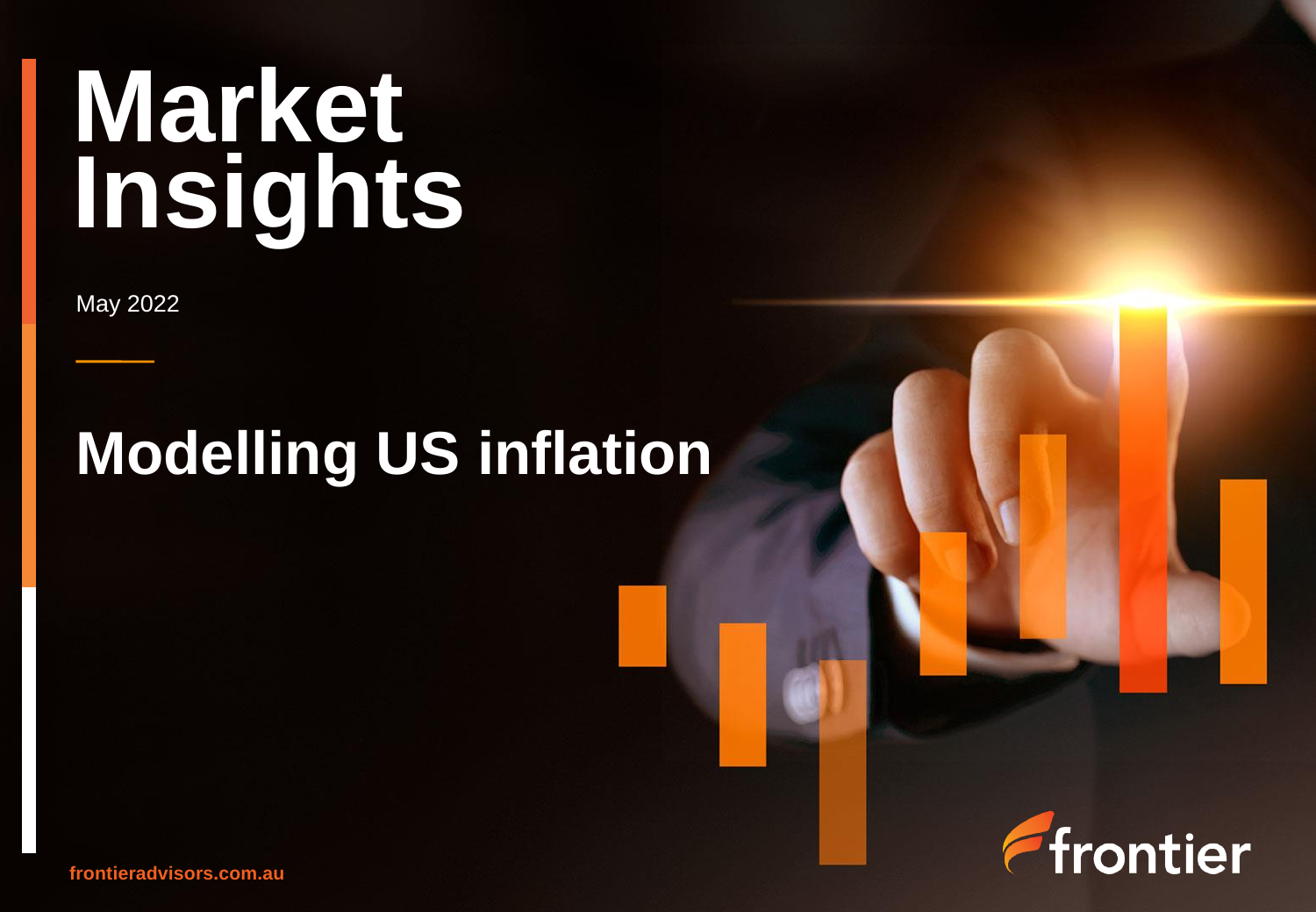# **Market Insights**

May 2022

## **Modelling US inflation**



**frontieradvisors.com.au**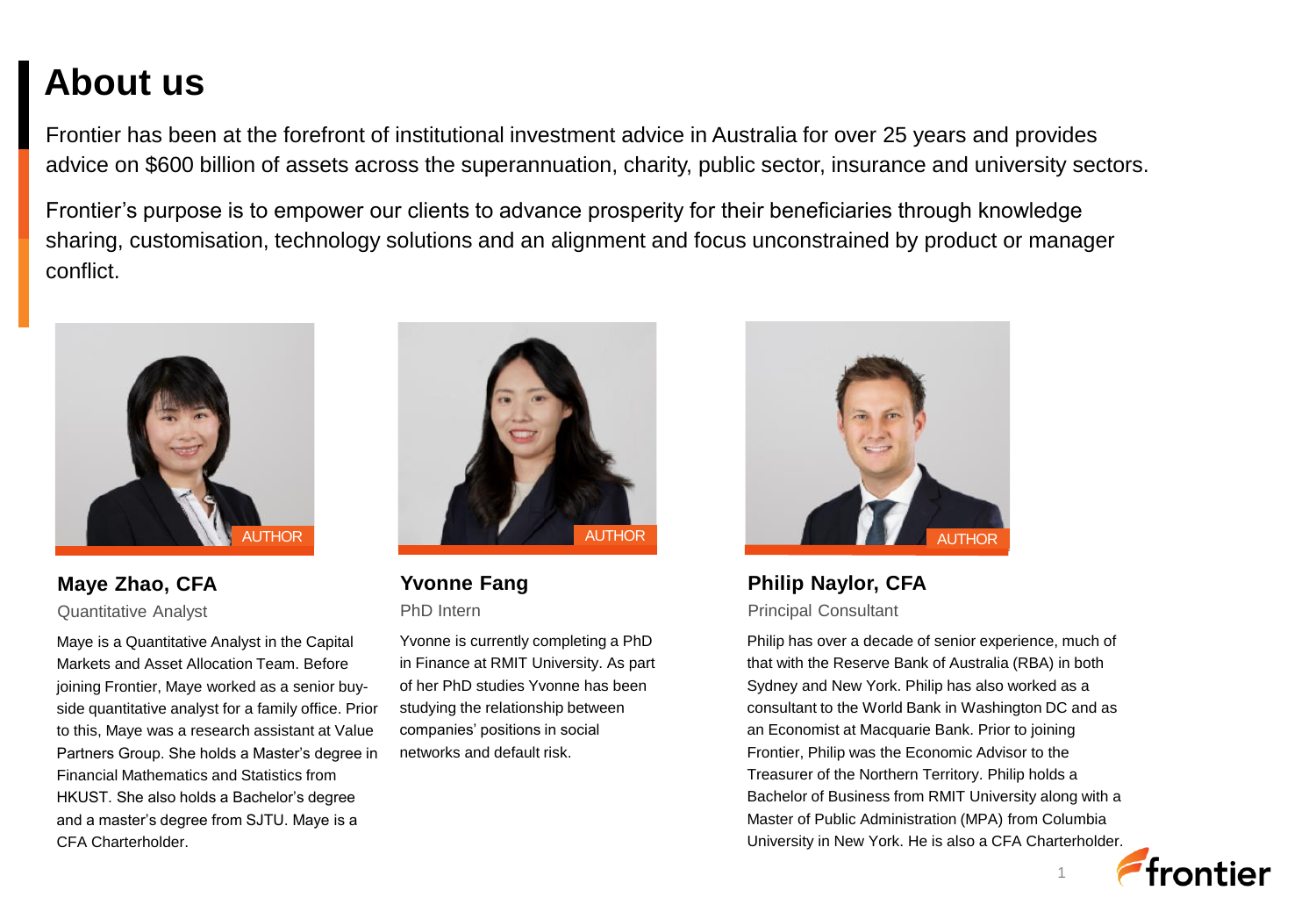### **About us**

Frontier has been at the forefront of institutional investment advice in Australia for over 25 years and provides advice on \$600 billion of assets across the superannuation, charity, public sector, insurance and university sectors.

Frontier's purpose is to empower our clients to advance prosperity for their beneficiaries through knowledge sharing, customisation, technology solutions and an alignment and focus unconstrained by product or manager conflict.



**Maye Zhao, CFA** Quantitative Analyst

Maye is a Quantitative Analyst in the Capital Markets and Asset Allocation Team. Before joining Frontier, Maye worked as a senior buyside quantitative analyst for a family office. Prior to this, Maye was a research assistant at Value Partners Group. She holds a Master's degree in Financial Mathematics and Statistics from HKUST. She also holds a Bachelor's degree and a master's degree from SJTU. Maye is a CFA Charterholder.



**Yvonne Fang** PhD Intern

Yvonne is currently completing a PhD in Finance at RMIT University. As part of her PhD studies Yvonne has been studying the relationship between companies' positions in social networks and default risk.



**Philip Naylor, CFA** Principal Consultant

Philip has over a decade of senior experience, much of that with the Reserve Bank of Australia (RBA) in both Sydney and New York. Philip has also worked as a consultant to the World Bank in Washington DC and as an Economist at Macquarie Bank. Prior to joining Frontier, Philip was the Economic Advisor to the Treasurer of the Northern Territory. Philip holds a Bachelor of Business from RMIT University along with a Master of Public Administration (MPA) from Columbia University in New York. He is also a CFA Charterholder.

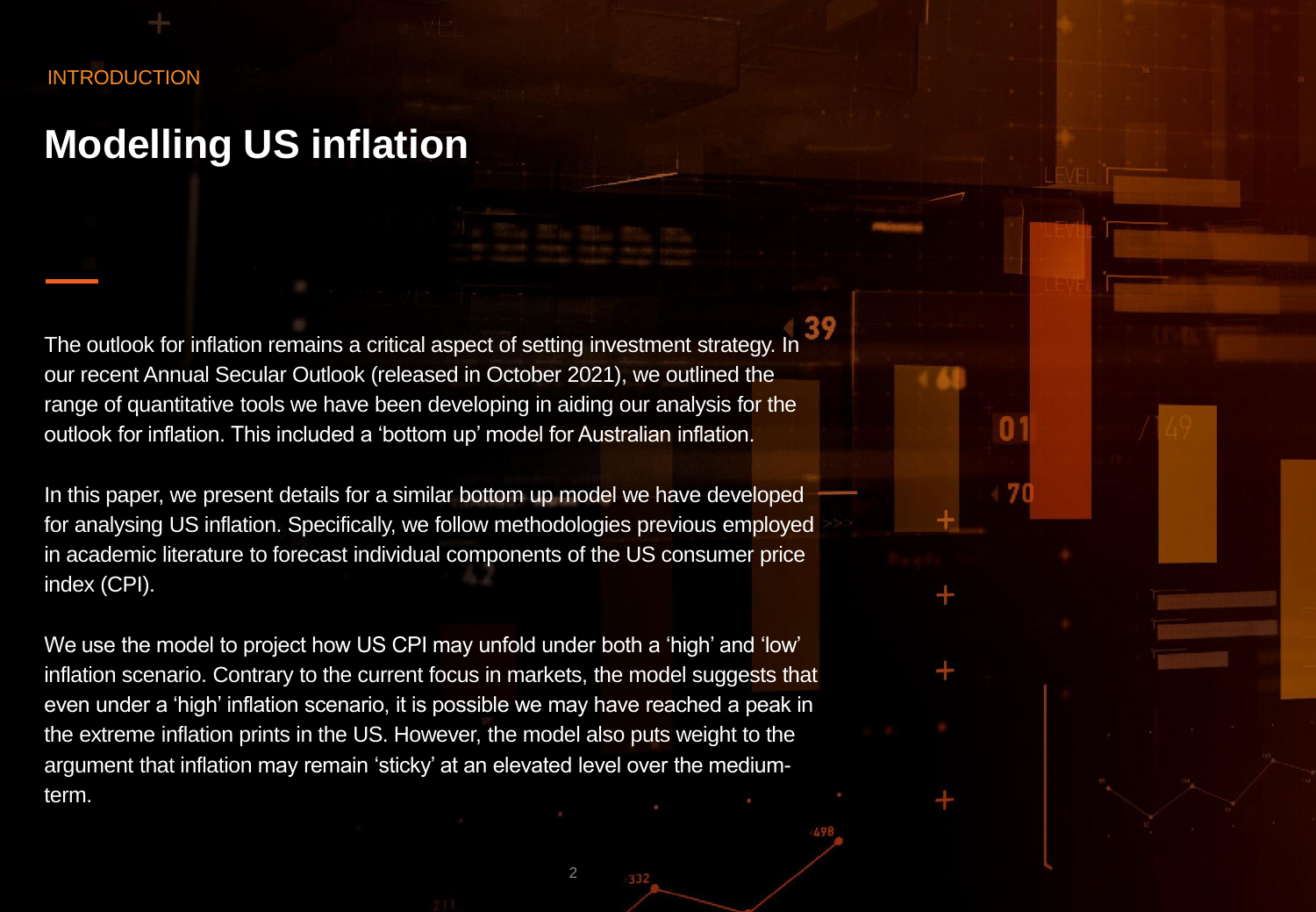#### INTRODUCTION

### **Modelling US inflation**

The outlook for inflation remains a critical aspect of setting investment strategy. In our recent Annual Secular Outlook (released in October 2021), we outlined the range of quantitative tools we have been developing in aiding our analysis for the outlook for inflation. This included a 'bottom up' model for Australian inflation.

In this paper, we present details for a similar bottom up model we have developed for analysing US inflation. Specifically, we follow methodologies previous employed in academic literature to forecast individual components of the US consumer price index (CPI).

We use the model to project how US CPI may unfold under both a 'high' and 'low' inflation scenario. Contrary to the current focus in markets, the model suggests that even under a 'high' inflation scenario, it is possible we may have reached a peak in the extreme inflation prints in the US. However, the model also puts weight to the argument that inflation may remain 'sticky' at an elevated level over the mediumterm.

 $\mathcal{P}$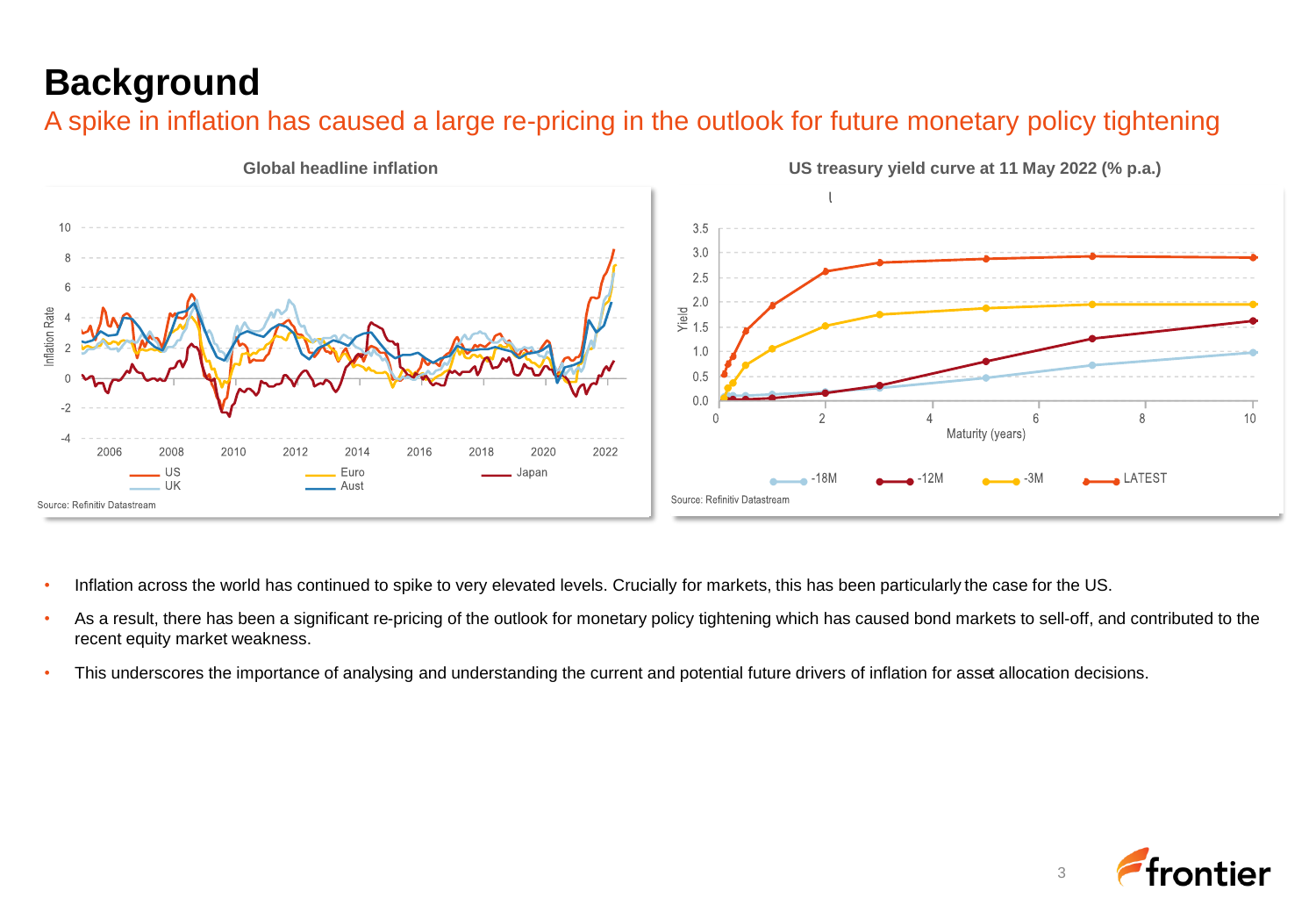### **Background**

A spike in inflation has caused a large re-pricing in the outlook for future monetary policy tightening



- Inflation across the world has continued to spike to very elevated levels. Crucially for markets, this has been particularly the case for the US.
- As a result, there has been a significant re-pricing of the outlook for monetary policy tightening which has caused bond markets to sell-off, and contributed to the recent equity market weakness.
- This underscores the importance of analysing and understanding the current and potential future drivers of inflation for asset allocation decisions.

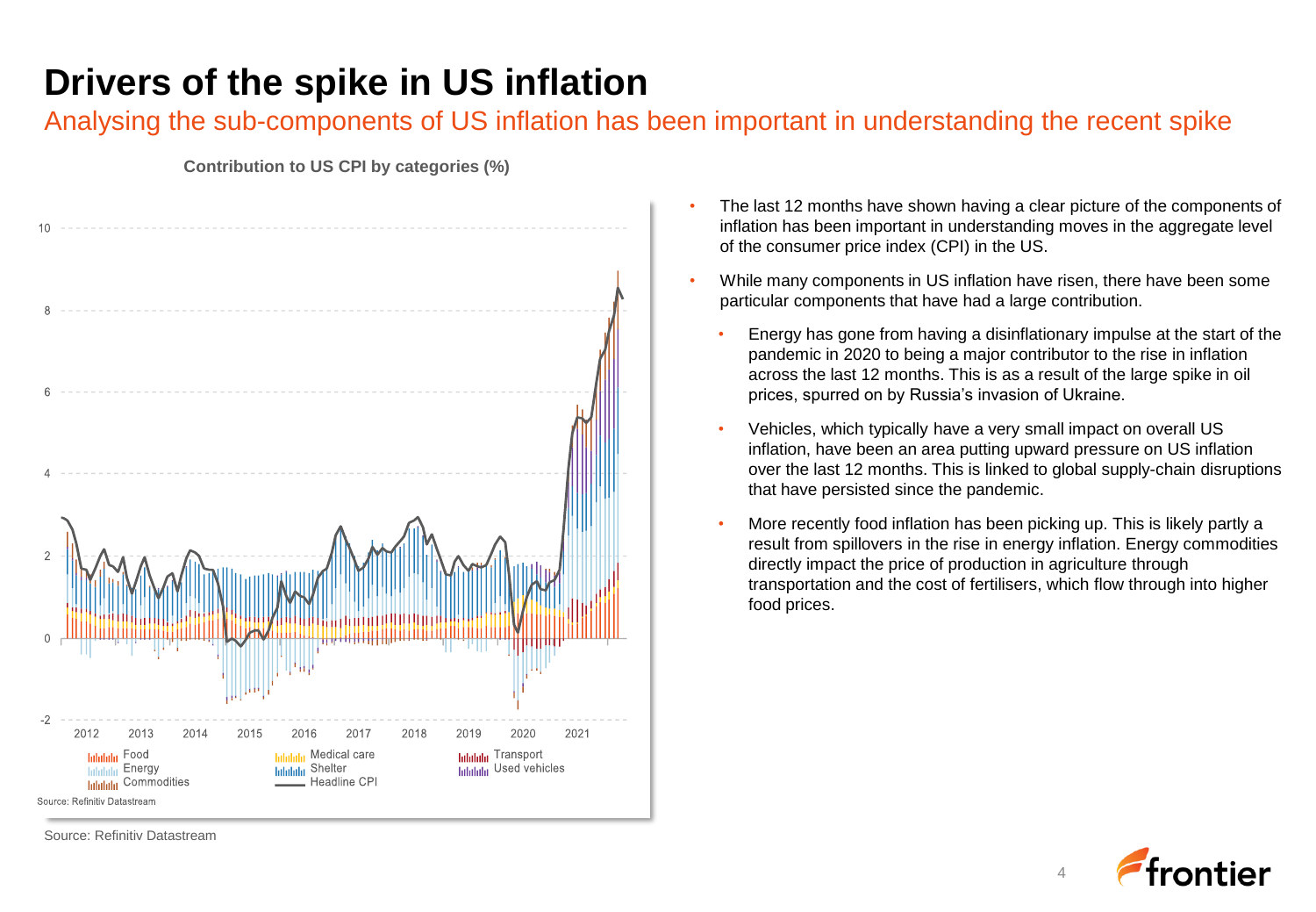### **Drivers of the spike in US inflation**

### Analysing the sub-components of US inflation has been important in understanding the recent spike



**Contribution to US CPI by categories (%)**

- The last 12 months have shown having a clear picture of the components of inflation has been important in understanding moves in the aggregate level of the consumer price index (CPI) in the US.
- While many components in US inflation have risen, there have been some particular components that have had a large contribution.
	- Energy has gone from having a disinflationary impulse at the start of the pandemic in 2020 to being a major contributor to the rise in inflation across the last 12 months. This is as a result of the large spike in oil prices, spurred on by Russia's invasion of Ukraine.
	- Vehicles, which typically have a very small impact on overall US inflation, have been an area putting upward pressure on US inflation over the last 12 months. This is linked to global supply-chain disruptions that have persisted since the pandemic.
	- More recently food inflation has been picking up. This is likely partly a result from spillovers in the rise in energy inflation. Energy commodities directly impact the price of production in agriculture through transportation and the cost of fertilisers, which flow through into higher food prices.



4

Source: Refinitiv Datastream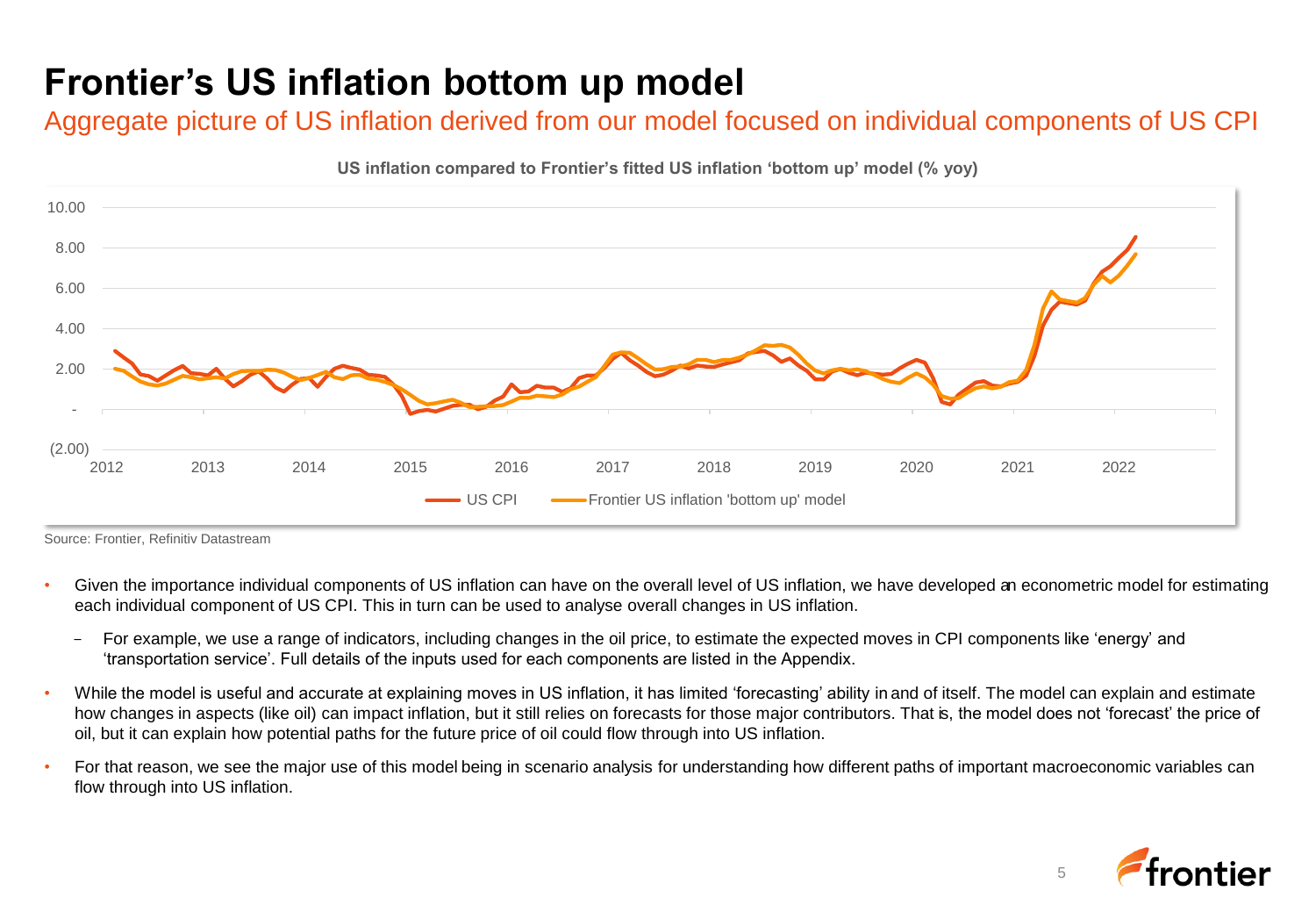### **Frontier's US inflation bottom up model**

Aggregate picture of US inflation derived from our model focused on individual components of US CPI



Source: Frontier, Refinitiv Datastream

- Given the importance individual components of US inflation can have on the overall level of US inflation, we have developed an econometric model for estimating each individual component of US CPI. This in turn can be used to analyse overall changes in US inflation.
	- For example, we use a range of indicators, including changes in the oil price, to estimate the expected moves in CPI components like 'energy' and 'transportation service'. Full details of the inputs used for each components are listed in the Appendix.
- While the model is useful and accurate at explaining moves in US inflation, it has limited 'forecasting' ability in and of itself. The model can explain and estimate how changes in aspects (like oil) can impact inflation, but it still relies on forecasts for those major contributors. That is, the model does not 'forecast' the price of oil, but it can explain how potential paths for the future price of oil could flow through into US inflation.
- For that reason, we see the major use of this model being in scenario analysis for understanding how different paths of important macroeconomic variables can flow through into US inflation.

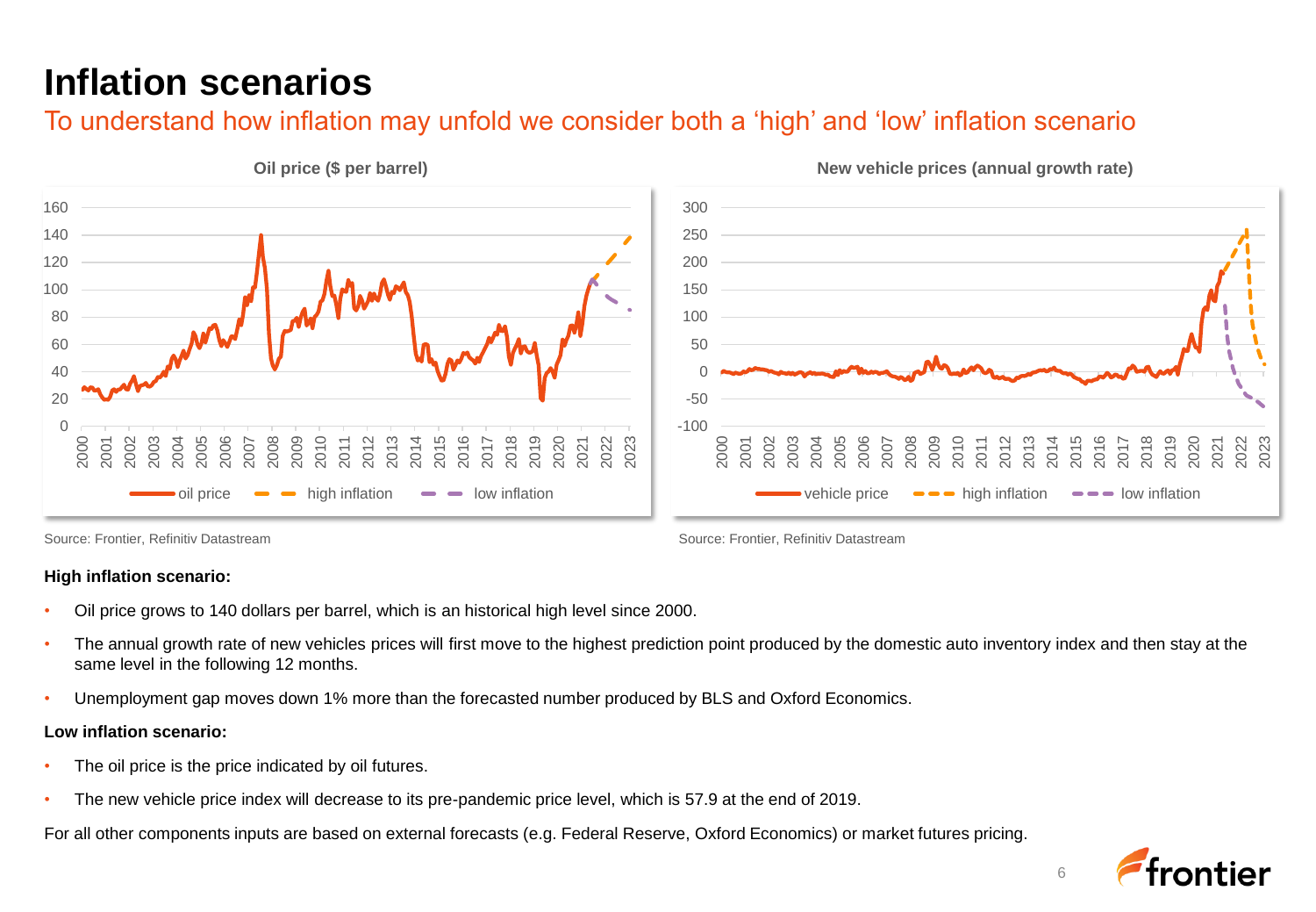### **Inflation scenarios**

#### To understand how inflation may unfold we consider both a 'high' and 'low' inflation scenario



Source: Frontier, Refinitiv Datastream Source: Frontier, Refinitiv Datastream Source: Frontier, Refinitiv Datastream

#### **High inflation scenario:**

- Oil price grows to 140 dollars per barrel, which is an historical high level since 2000.
- The annual growth rate of new vehicles prices will first move to the highest prediction point produced by the domestic auto inventory index and then stay at the same level in the following 12 months.
- Unemployment gap moves down 1% more than the forecasted number produced by BLS and Oxford Economics.

#### **Low inflation scenario:**

- The oil price is the price indicated by oil futures.
- The new vehicle price index will decrease to its pre-pandemic price level, which is 57.9 at the end of 2019.

For all other components inputs are based on external forecasts (e.g. Federal Reserve, Oxford Economics) or market futures pricing.

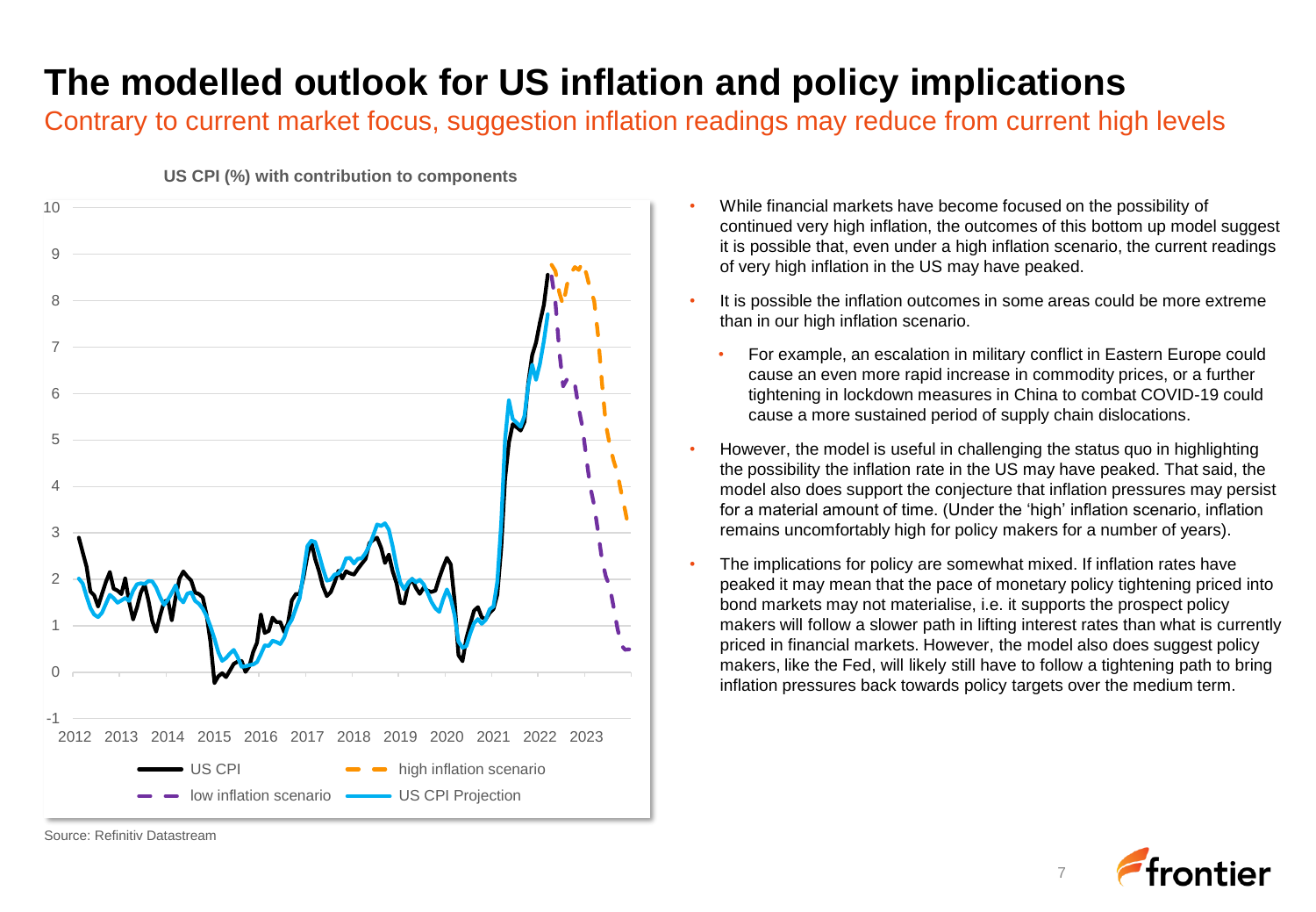### **The modelled outlook for US inflation and policy implications**

Contrary to current market focus, suggestion inflation readings may reduce from current high levels



**US CPI (%) with contribution to components**

- While financial markets have become focused on the possibility of continued very high inflation, the outcomes of this bottom up model suggest it is possible that, even under a high inflation scenario, the current readings of very high inflation in the US may have peaked.
- It is possible the inflation outcomes in some areas could be more extreme than in our high inflation scenario.
	- For example, an escalation in military conflict in Eastern Europe could cause an even more rapid increase in commodity prices, or a further tightening in lockdown measures in China to combat COVID-19 could cause a more sustained period of supply chain dislocations.
- However, the model is useful in challenging the status quo in highlighting the possibility the inflation rate in the US may have peaked. That said, the model also does support the conjecture that inflation pressures may persist for a material amount of time. (Under the 'high' inflation scenario, inflation remains uncomfortably high for policy makers for a number of years).
- The implications for policy are somewhat mixed. If inflation rates have peaked it may mean that the pace of monetary policy tightening priced into bond markets may not materialise, i.e. it supports the prospect policy makers will follow a slower path in lifting interest rates than what is currently priced in financial markets. However, the model also does suggest policy makers, like the Fed, will likely still have to follow a tightening path to bring inflation pressures back towards policy targets over the medium term.



Source: Refinitiv Datastream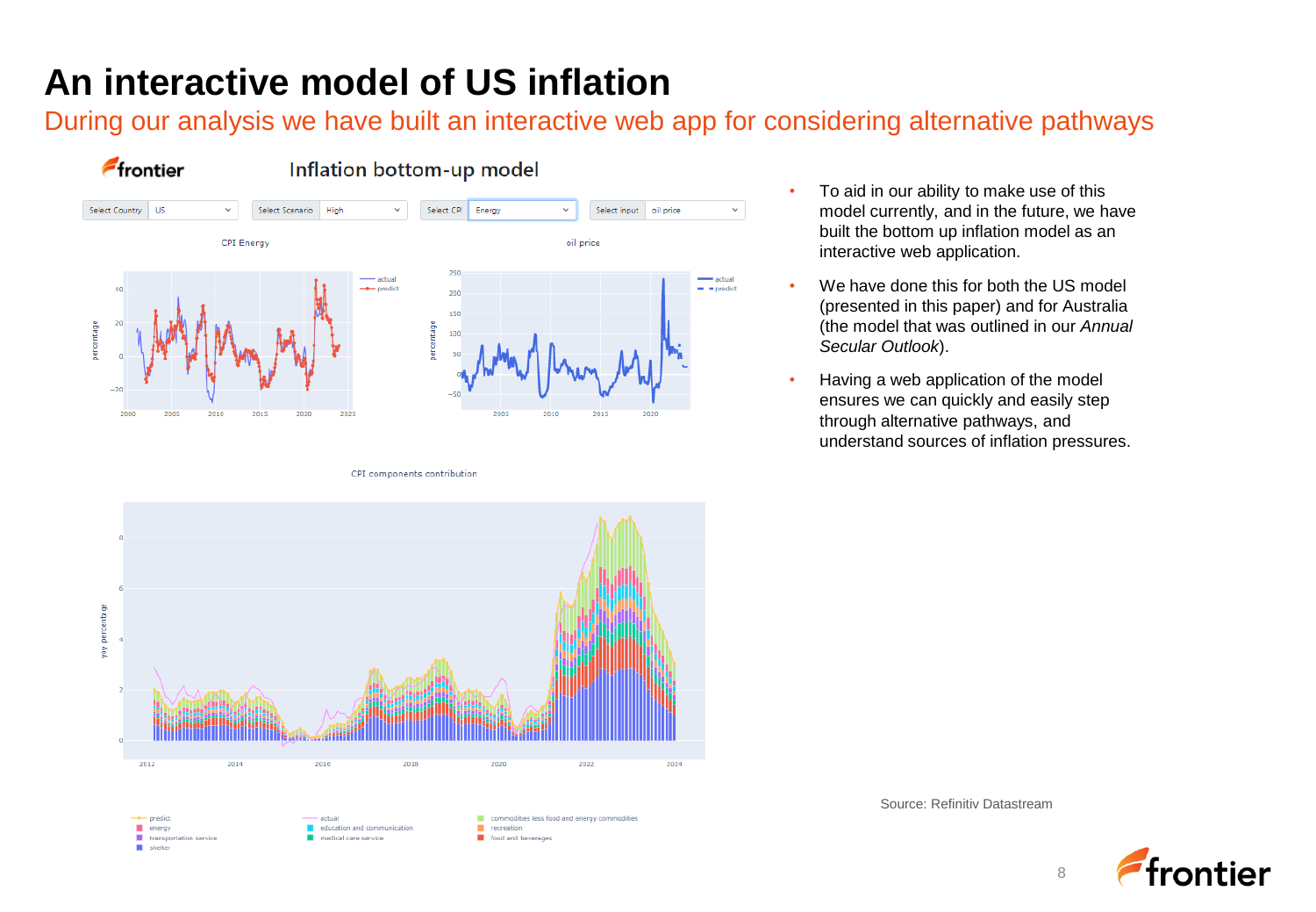### **An interactive model of US inflation**

During our analysis we have built an interactive web app for considering alternative pathways



CPI components contribution



- We have done this for both the US model (presented in this paper) and for Australia (the model that was outlined in our *Annual Secular Outlook*).
- Having a web application of the model ensures we can quickly and easily step through alternative pathways, and understand sources of inflation pressures.



Source: Refinitiv Datastream

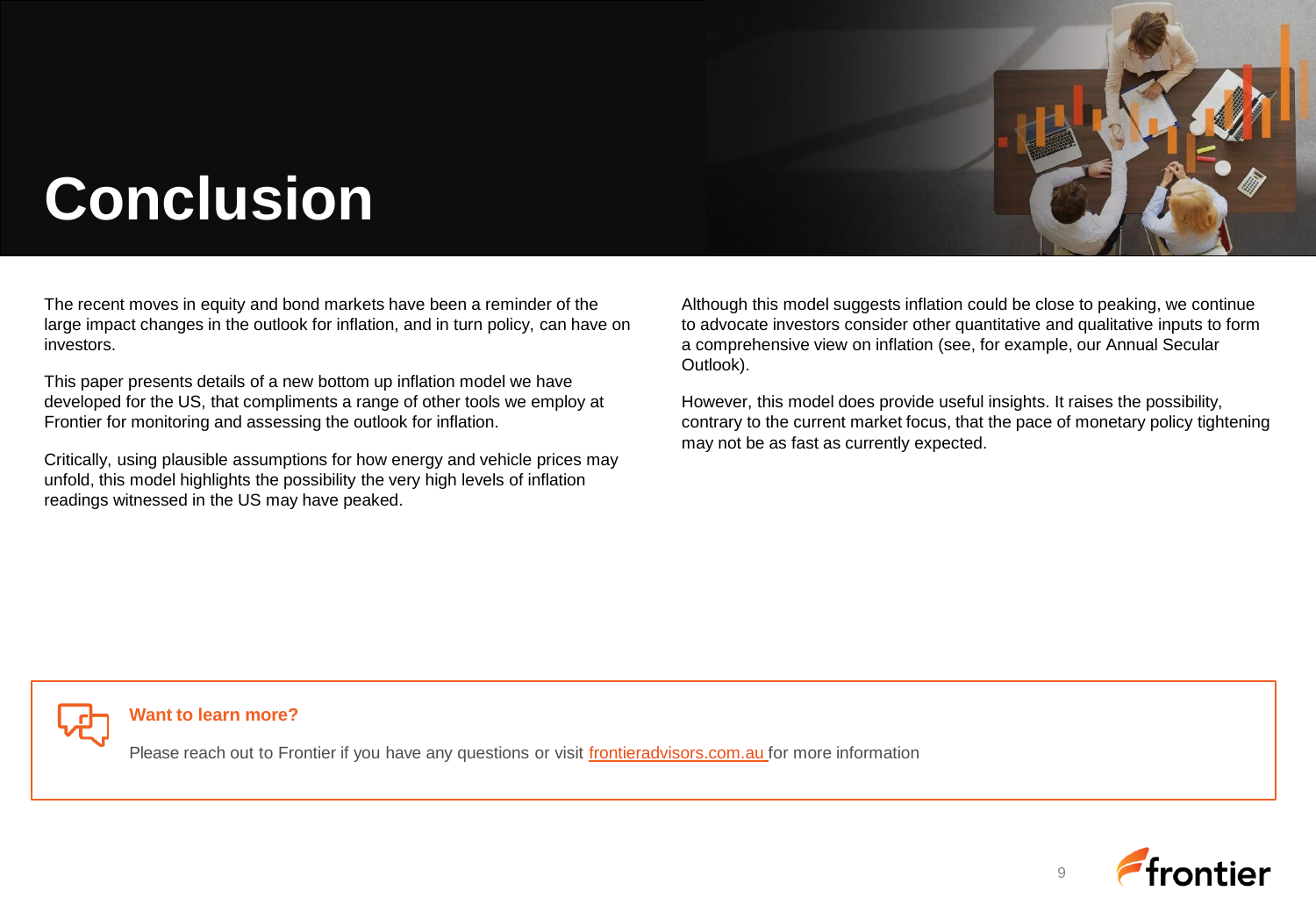

# **Conclusion**

The recent moves in equity and bond markets have been a reminder of the large impact changes in the outlook for inflation, and in turn policy, can have on investors.

This paper presents details of a new bottom up inflation model we have developed for the US, that compliments a range of other tools we employ at Frontier for monitoring and assessing the outlook for inflation.

Critically, using plausible assumptions for how energy and vehicle prices may unfold, this model highlights the possibility the very high levels of inflation readings witnessed in the US may have peaked.

Although this model suggests inflation could be close to peaking, we continue to advocate investors consider other quantitative and qualitative inputs to form a comprehensive view on inflation (see, for example, our Annual Secular Outlook).

However, this model does provide useful insights. It raises the possibility, contrary to the current market focus, that the pace of monetary policy tightening may not be as fast as currently expected.



#### **Want to learn more?**

Please reach out to Frontier if you have any questions or visit [frontieradvisors.com.au](http://www.frontieradvisors.com.au/) for more information



 $\alpha$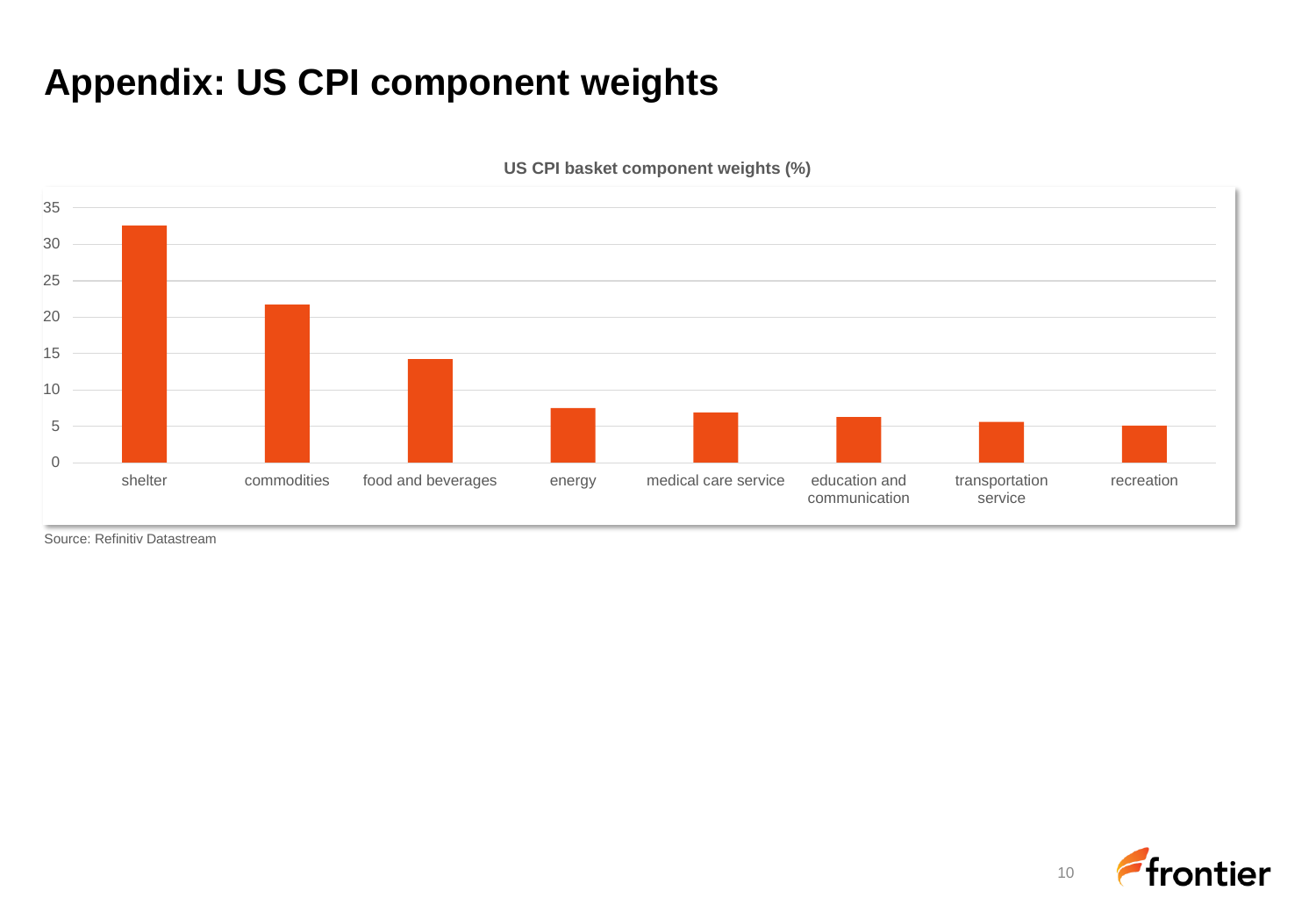### **Appendix: US CPI component weights**



**US CPI basket component weights (%)**

Source: Refinitiv Datastream

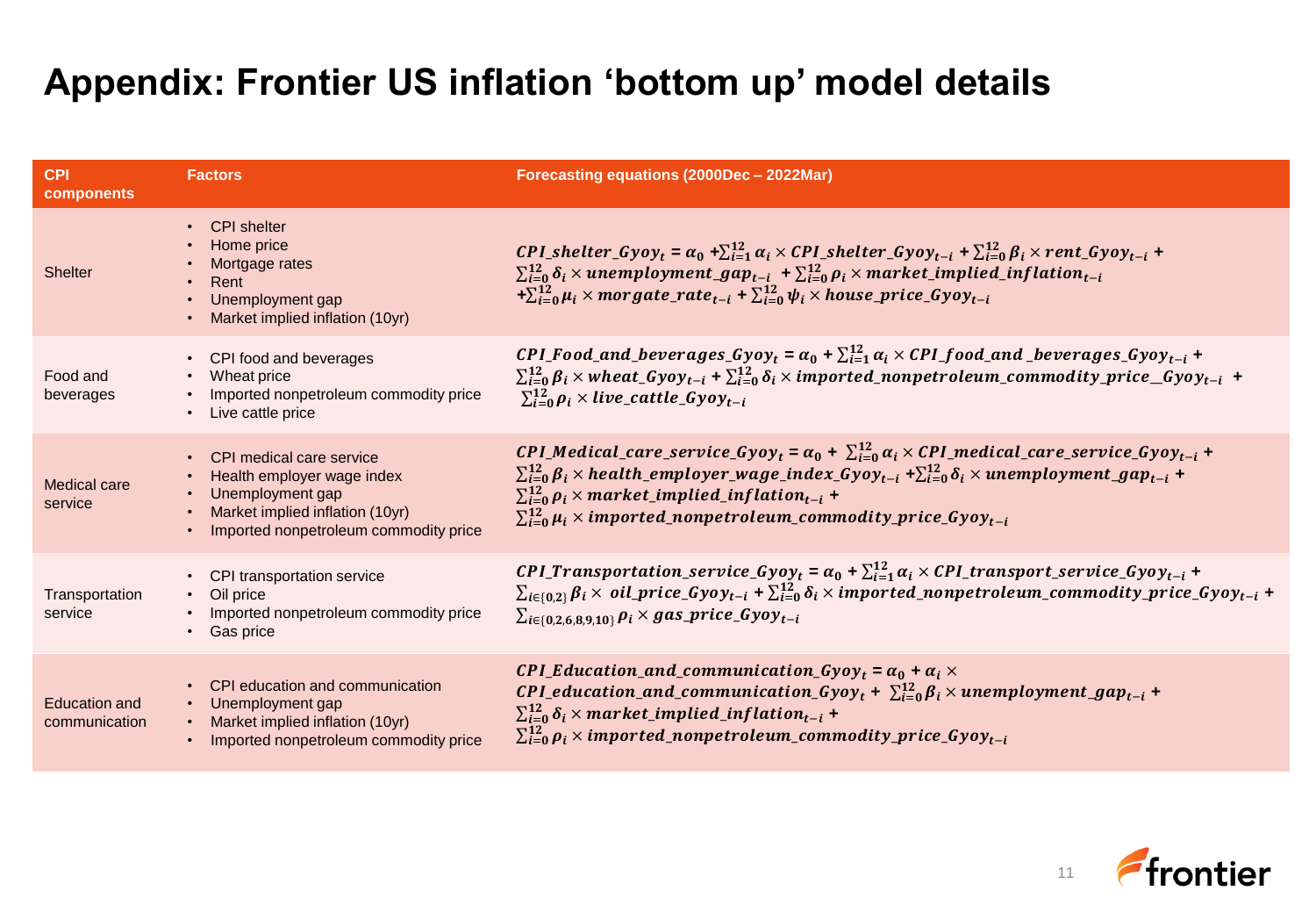### **Appendix: Frontier US inflation 'bottom up' model details**

| <b>CPI</b><br>components              | <b>Factors</b>                                                                                                                                           | Forecasting equations (2000Dec - 2022Mar)                                                                                                                                                                                                                                                                                                                                                                                                                      |
|---------------------------------------|----------------------------------------------------------------------------------------------------------------------------------------------------------|----------------------------------------------------------------------------------------------------------------------------------------------------------------------------------------------------------------------------------------------------------------------------------------------------------------------------------------------------------------------------------------------------------------------------------------------------------------|
| <b>Shelter</b>                        | <b>CPI</b> shelter<br>$\bullet$<br>Home price<br>Mortgage rates<br>Rent<br>Unemployment gap<br>Market implied inflation (10yr)                           | CPI_shelter_Gyoy <sub>t</sub> = $\alpha_0$ + $\sum_{i=1}^{12} \alpha_i \times CPU\_shelter\_Gyoy_{t-i}$ + $\sum_{i=0}^{12} \beta_i \times rent\_Gyoy_{t-i}$ +<br>$\sum_{i=0}^{12} \delta_i \times$ unemployment_gap <sub>t-i</sub> + $\sum_{i=0}^{12} \rho_i \times$ market_implied_inflation <sub>t-i</sub><br>$+\sum_{i=0}^{12} \mu_i \times morgate\_rate_{t-i} + \sum_{i=0}^{12} \psi_i \times house\_price\_Gyoy_{t-i}$                                   |
| Food and<br>beverages                 | CPI food and beverages<br>$\bullet$<br>Wheat price<br>Imported nonpetroleum commodity price<br>Live cattle price                                         | CPI_Food_and_beverages_Gyoy <sub>t</sub> = $\alpha_0$ + $\sum_{i=1}^{12} \alpha_i$ × CPI_food_and _beverages_Gyoy <sub>t-i</sub> +<br>$\sum_{i=0}^{12} \beta_i$ × wheat_Gyoy <sub>t-i</sub> + $\sum_{i=0}^{12} \delta_i$ × imported_nonpetroleum_commodity_price_Gyoy <sub>t-i</sub> +<br>$\sum_{i=0}^{12} \rho_i \times live\_cattle\_Gyoy_{t-i}$                                                                                                             |
| Medical care<br>service               | • CPI medical care service<br>Health employer wage index<br>Unemployment gap<br>Market implied inflation (10yr)<br>Imported nonpetroleum commodity price | CPI_Medical_care_service_Gyoy <sub>t</sub> = $\alpha_0$ + $\sum_{i=0}^{12} \alpha_i \times CPI$ _medical_care_service_Gyoy <sub>t-i</sub> +<br>$\sum_{i=0}^{12} \beta_i$ × health_employer_wage_index_Gyoy <sub>t-i</sub> + $\sum_{i=0}^{12} \delta_i$ × unemployment_gap <sub>t-i</sub> +<br>$\sum_{i=0}^{12} \rho_i \times market\_implied\_inflation_{t-i}$ +<br>$\sum_{i=0}^{12} \mu_i \times \text{imported\_nonpetroleum\_commonity\_price\_Gyoy_{t-i}}$ |
| Transportation<br>service             | CPI transportation service<br>$\bullet$<br>Oil price<br>Imported nonpetroleum commodity price<br>Gas price                                               | <b>CPI_Transportation_service_Gyoy</b> <sub>t</sub> = $\alpha_0$ + $\sum_{i=1}^{12} \alpha_i$ × <b>CPI_transport_service_Gyoy</b> <sub>t-i</sub> +<br>$\sum_{i\in\{0,2\}}\beta_i\times$ oil_price_Gyoy <sub>t-i</sub> + $\sum_{i=0}^{12}\delta_i\times$ imported_nonpetroleum_commodity_price_Gyoy <sub>t-i</sub> +<br>$\sum_{i \in \{0,2,6,8,9,10\}} \rho_i \times gas\_price\_Gyoy_{t-i}$                                                                    |
| <b>Education and</b><br>communication | CPI education and communication<br>Unemployment gap<br>Market implied inflation (10yr)<br>Imported nonpetroleum commodity price                          | CPI_Education_and_communication_Gyoy <sub>t</sub> = $\alpha_0$ + $\alpha_i$ ×<br>CPI_education_and_communication_Gyoy <sub>t</sub> + $\sum_{i=0}^{12} \beta_i \times$ unemployment_gap <sub>t-i</sub> +<br>$\sum_{i=0}^{12} \delta_i \times market\_implied\_inflation_{t-i}$ +<br>$\sum_{i=0}^{12} \rho_i \times \text{imported\_nonpetroleum\_commodity\_price\_Gyoy}_{t-i}$                                                                                 |

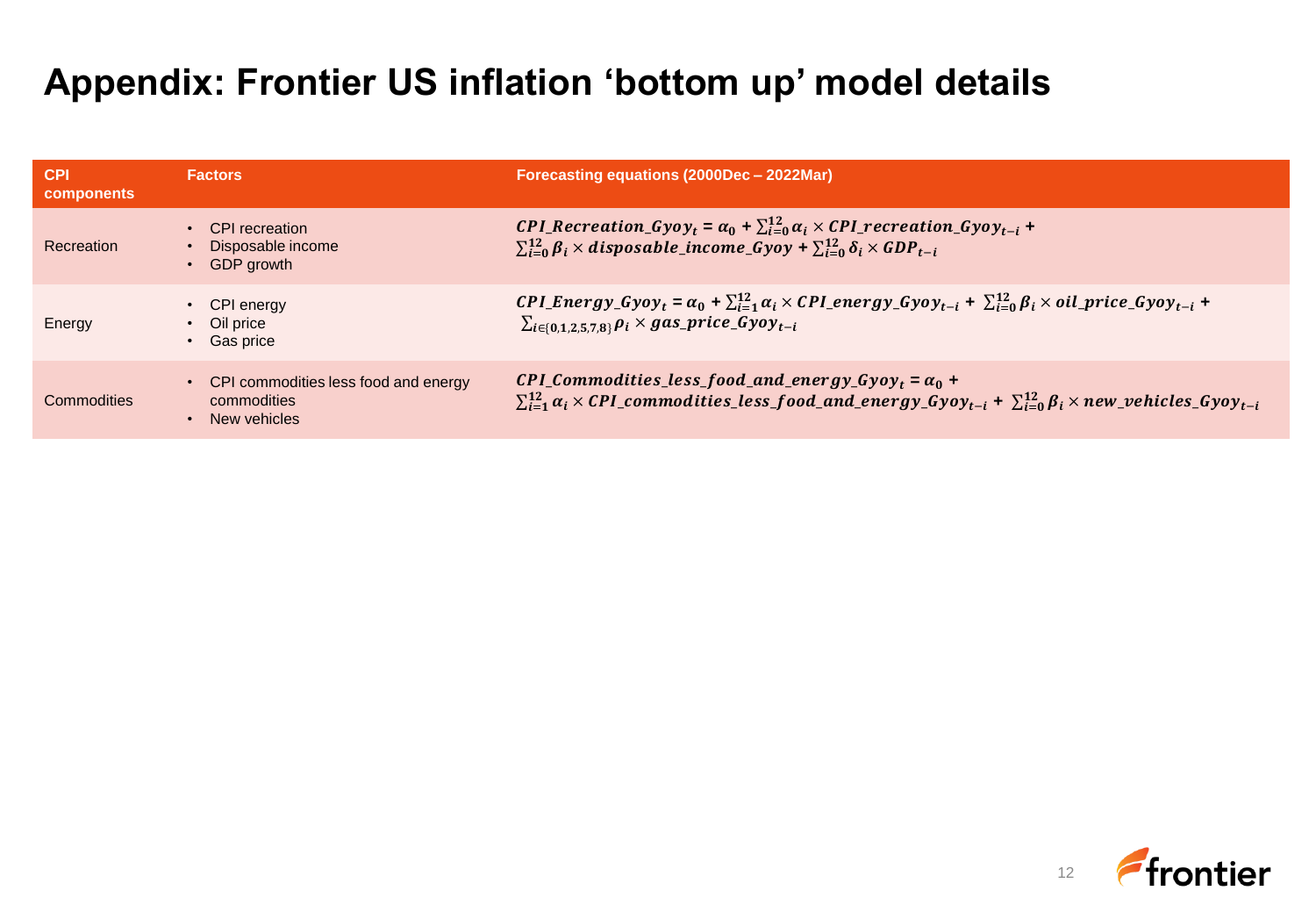### **Appendix: Frontier US inflation 'bottom up' model details**

| <b>CPI</b><br>components | <b>Factors</b>                                                      | Forecasting equations (2000Dec - 2022Mar)                                                                                                                                                                                                    |
|--------------------------|---------------------------------------------------------------------|----------------------------------------------------------------------------------------------------------------------------------------------------------------------------------------------------------------------------------------------|
| Recreation               | <b>CPI</b> recreation<br>Disposable income<br>GDP growth            | CPI_Recreation_Gyoy <sub>t</sub> = $\alpha_0$ + $\sum_{i=0}^{12} \alpha_i \times CPI$ _recreation_Gyoy <sub>t-i</sub> +<br>$\sum_{i=0}^{12} \beta_i \times disposable\_income\_Gyoy + \sum_{i=0}^{12} \delta_i \times GDP_{t-i}$             |
| Energy                   | CPI energy<br>• Oil price<br><b>Gas price</b>                       | CPI_Energy_Gyoy <sub>t</sub> = $\alpha_0$ + $\sum_{i=1}^{12} \alpha_i$ × CPI_energy_Gyoy <sub>t-i</sub> + $\sum_{i=0}^{12} \beta_i$ × oil_price_Gyoy <sub>t-i</sub> +<br>$\sum_{i \in \{0,1,2,5,7,8\}} \rho_i \times gas\_price\_Gyoy_{t-i}$ |
| Commodities              | CPI commodities less food and energy<br>commodities<br>New vehicles | CPI_Commodities_less_food_and_energy_Gyoy <sub>t</sub> = $\alpha_0$ +<br>$\sum_{i=1}^{12} \alpha_i \times {\cal CPL}$ commodities_less_food_and_energy_Gyoy <sub>t-i</sub> + $\sum_{i=0}^{12} \beta_i \times new\_behicles_Gyoy_{t-i}$       |